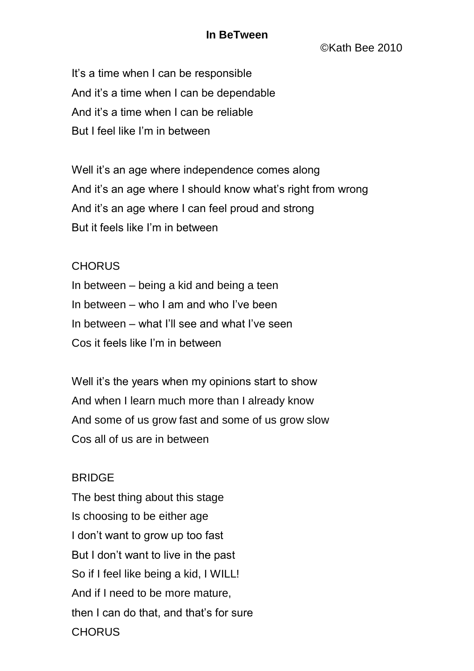## **In BeTween**

©Kath Bee 2010

It's a time when I can be responsible And it's a time when I can be dependable And it's a time when I can be reliable But I feel like I'm in between

Well it's an age where independence comes along And it's an age where I should know what's right from wrong And it's an age where I can feel proud and strong But it feels like I'm in between

## **CHORUS**

In between – being a kid and being a teen In between – who I am and who I've been In between – what I'll see and what I've seen Cos it feels like I'm in between

Well it's the years when my opinions start to show And when I learn much more than I already know And some of us grow fast and some of us grow slow Cos all of us are in between

## BRIDGE

The best thing about this stage Is choosing to be either age I don't want to grow up too fast But I don't want to live in the past So if I feel like being a kid, I WILL! And if I need to be more mature, then I can do that, and that's for sure **CHORUS**